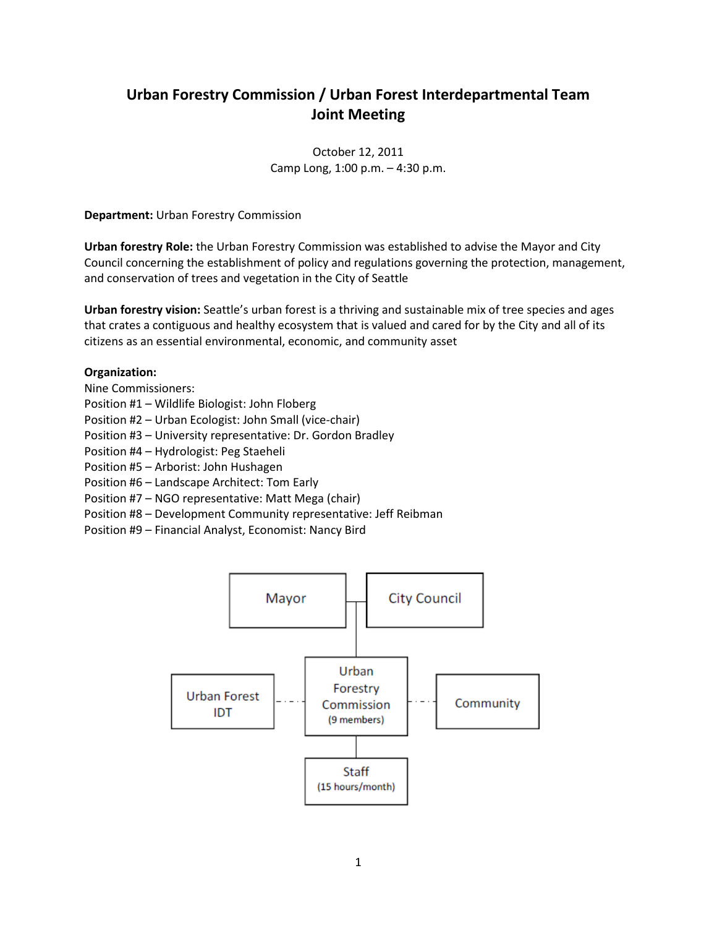## **Urban Forestry Commission / Urban Forest Interdepartmental Team Joint Meeting**

October 12, 2011 Camp Long, 1:00 p.m. – 4:30 p.m.

## **Department:** Urban Forestry Commission

**Urban forestry Role:** the Urban Forestry Commission was established to advise the Mayor and City Council concerning the establishment of policy and regulations governing the protection, management, and conservation of trees and vegetation in the City of Seattle

**Urban forestry vision:** Seattle's urban forest is a thriving and sustainable mix of tree species and ages that crates a contiguous and healthy ecosystem that is valued and cared for by the City and all of its citizens as an essential environmental, economic, and community asset

## **Organization:**

Nine Commissioners:

- Position #1 Wildlife Biologist: John Floberg
- Position #2 Urban Ecologist: John Small (vice-chair)
- Position #3 University representative: Dr. Gordon Bradley
- Position #4 Hydrologist: Peg Staeheli
- Position #5 Arborist: John Hushagen
- Position #6 Landscape Architect: Tom Early
- Position #7 NGO representative: Matt Mega (chair)
- Position #8 Development Community representative: Jeff Reibman
- Position #9 Financial Analyst, Economist: Nancy Bird